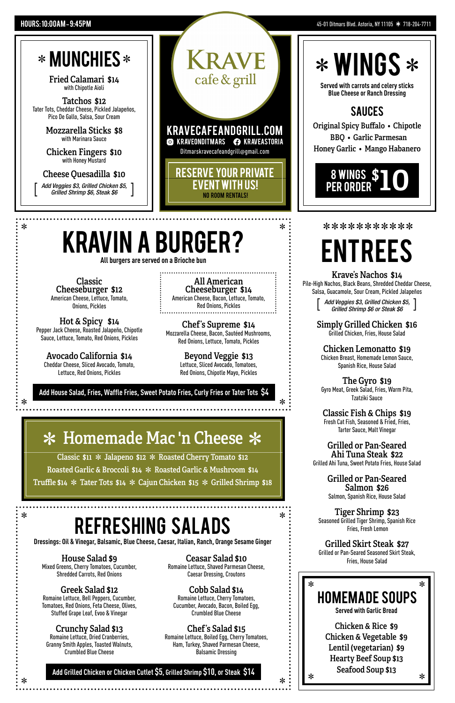Fried Calamari \$14 with Chipotle Aioli

Tatchos \$12 Tater Tots, Cheddar Cheese, Pickled Jalapeños, Pico De Gallo, Salsa, Sour Cream

> Mozzarella Sticks \$8 with Marinara Sauce

> Chicken Fingers \$10 with Honey Mustard

Cheese Quesadilla \$10

**All burgers are served on a Brioche bun**

*Add Veggies \$3, Grilled Chicken \$5,*   $\begin{bmatrix}$  *Grilled Shrimp \$6 or Steak \$6 Grilled Shrimp \$6 or Steak \$6*

**Add House Salad, Fries, Waffle Fries, Sweet Potato Fries, Curly Fries or Tater Tots \$4**

 $\ast$ 

### \* Homemade Mac 'n Cheese \*

Classic  $$11 *$  Jalapeno  $$12 *$  Roasted Cherry Tomato  $$12$ Roasted Garlic & Broccoli  $$14 *$  Roasted Garlic & Mushroom  $$14$ Truffle \$14  $*$  Tater Tots \$14  $*$  Cajun Chicken \$15  $*$  Grilled Shrimp \$18

Chicken Lemonatto \$19 Chicken Breast, Homemade Lemon Sauce, Spanish Rice, House Salad

*Add Veggies \$3, Grilled Chicken \$5,* [ [*Grilled Shrimp \$6, Steak \$6*

cafe & grill

**Add Grilled Chicken or Chicken Cutlet \$5, Grilled Shrimp \$10, or Steak \$14**

**Served with carrots and celery sticks Blue Cheese or Ranch Dressing**

Original Spicy Buffalo • Chipotle BBQ • Garlic Parmesan Honey Garlic • Mango Habanero

#### Krave's Nachos \$14

Pile-High Nachos, Black Beans, Shredded Cheddar Cheese, Salsa, Guacamole, Sour Cream, Pickled Jalapeños

Simply Grilled Chicken \$16

Grilled Chicken, Fries, House Salad

#### refreshing salads  $*$  **DEFRECHING CALARC**  $*$

The Gyro \$19 Gyro Meat, Greek Salad, Fries, Warm Pita, Tzatziki Sauce

Classic Fish & Chips \$19 Fresh Cat Fish, Seasoned & Fried, Fries, Tarter Sauce, Malt Vinegar

Romaine Lettuce, Dried Cranberries, Granny Smith Apples, Toasted Walnuts, Crumbled Blue Cheese

Grilled or Pan-Seared Ahi Tuna Steak \$22 Grilled Ahi Tuna, Sweet Potato Fries, House Salad

> Grilled or Pan-Seared Salmon \$26 Salmon, Spanish Rice, House Salad

Tiger Shrimp \$23 Seasoned Grilled Tiger Shrimp, Spanish Rice Fries, Fresh Lemon

#### Grilled Skirt Steak \$27

Grilled or Pan-Seared Seasoned Skirt Steak, Fries, House Salad

## entrees

sauces



Classic Cheeseburger \$12 American Cheese, Lettuce, Tomato, Onions, Pickles

All American Cheeseburger \$14 American Cheese, Bacon, Lettuce, Tomato, Red Onions, Pickles

Hot & Spicy \$14 Pepper Jack Cheese, Roasted Jalapeño, Chipotle Sauce, Lettuce, Tomato, Red Onions, Pickles

### kravin a Burger? L LLLLLLLLLLL

Avocado California \$14 Cheddar Cheese, Sliced Avocado, Tomato, Lettuce, Red Onions, Pickles

kravecafeandgrill.com **S KRAVEONDITMARS C KRAVEASTORIA** Ditmarskravecafeandgrill@gmail.com

> Beyond Veggie \$13 Lettuce, Sliced Avocado, Tomatoes, Red Onions, Chipotle Mayo, Pickles

Chef's Supreme \$14 Mozzarella Cheese, Bacon, Sautéed Mushrooms, Red Onions, Lettuce, Tomato, Pickles

**Dressings: Oil & Vinegar, Balsamic, Blue Cheese, Caesar, Italian, Ranch, Orange Sesame Ginger**

#### House Salad \$9 Mixed Greens, Cherry Tomatoes, Cucumber,

Shredded Carrots, Red Onions

Ceasar Salad \$10 Romaine Lettuce, Shaved Parmesan Cheese, Caesar Dressing, Croutons

#### Greek Salad \$12

Romaine Lettuce, Bell Peppers, Cucumber, Tomatoes, Red Onions, Feta Cheese, Olives, Stuffed Grape Leaf, Evoo & Vinegar

#### Crunchy Salad \$13

#### Chef's Salad \$15

Romaine Lettuce, Boiled Egg, Cherry Tomatoes, Ham, Turkey, Shaved Parmesan Cheese, Balsamic Dressing

#### Cobb Salad \$14

Romaine Lettuce, Cherry Tomatoes, Cucumber, Avocado, Bacon, Boiled Egg, Crumbled Blue Cheese



Reserve Your private event with us! No room rentals!

 $\ast$ 

## $*$  WINGS  $*$

#### 45-01 Ditmars Blvd. Astoria, NY 11105 \* 718-204-7711

### \* MUNCHIES\*

#### Hours: 10:00AM **–** 9:45PM